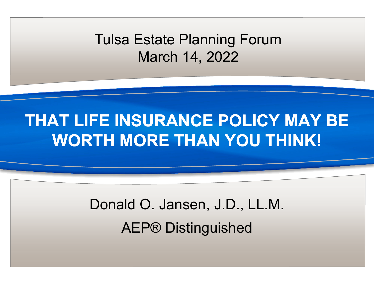Tulsa Estate Planning Forum March 14, 2022

#### **THAT LIFE INSURANCE POLICY MAY BE WORTH MORE THAN YOU THINK!**

# Donald O. Jansen, J.D., LL.M. AEP® Distinguished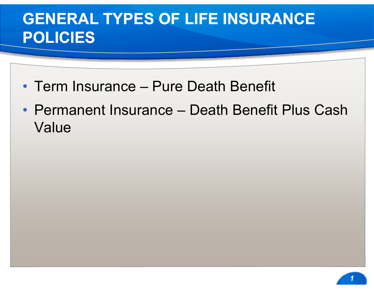#### **GENERAL TYPES OF LIFE INSURANCE POLICIES**

- Term Insurance Pure Death Benefit
- Permanent Insurance Death Benefit Plus Cash Value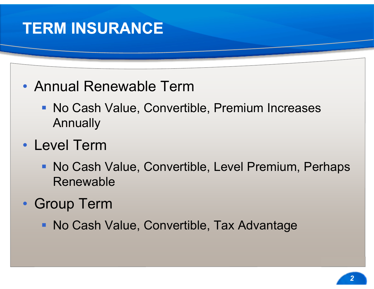#### **TERM INSURANCE**

- Annual Renewable Term
	- No Cash Value, Convertible, Premium Increases Annually
- Level Term
	- **No Cash Value, Convertible, Level Premium, Perhaps** Renewable
- Group Term
	- **No Cash Value, Convertible, Tax Advantage**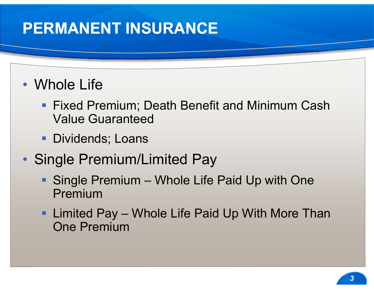#### **PERMANENT INSURANCE**

#### • Whole Life

- **Fixed Premium; Death Benefit and Minimum Cash** Value Guaranteed
- **Dividends; Loans**
- Single Premium/Limited Pay
	- Single Premium Whole Life Paid Up with One Premium
	- Limited Pay Whole Life Paid Up With More Than One Premium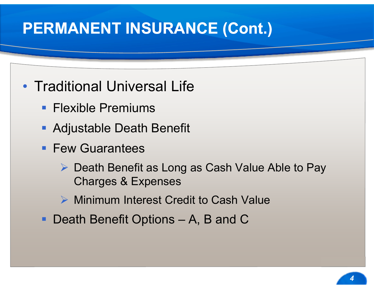## **PERMANENT INSURANCE (Cont.)**

- Traditional Universal Life
	- **Flexible Premiums**
	- Adjustable Death Benefit
	- **Few Guarantees** 
		- **▶ Death Benefit as Long as Cash Value Able to Pay** Charges & Expenses
		- **▶ Minimum Interest Credit to Cash Value**
	- Death Benefit Options A, B and C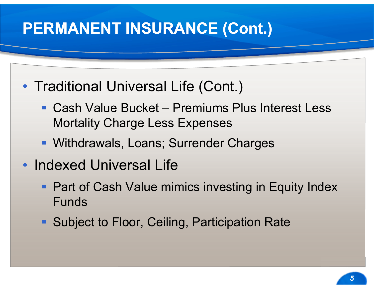## **PERMANENT INSURANCE (Cont.)**

- Traditional Universal Life (Cont.)
	- Cash Value Bucket Premiums Plus Interest Less Mortality Charge Less Expenses
	- Withdrawals, Loans; Surrender Charges
- Indexed Universal Life
	- **Part of Cash Value mimics investing in Equity Index** Funds
	- **Subject to Floor, Ceiling, Participation Rate**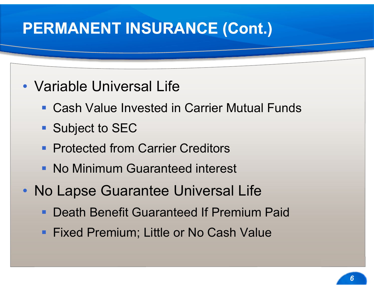#### **PERMANENT INSURANCE (Cont.)**

#### • Variable Universal Life

- Cash Value Invested in Carrier Mutual Funds
- Subject to SEC
- **Protected from Carrier Creditors**
- No Minimum Guaranteed interest
- No Lapse Guarantee Universal Life
	- Death Benefit Guaranteed If Premium Paid
	- **Fixed Premium; Little or No Cash Value**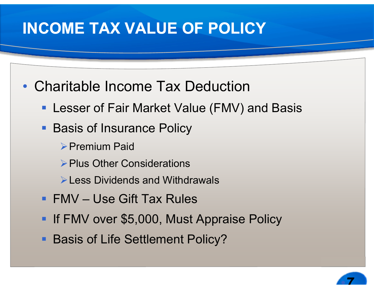## **INCOME TAX VALUE OF POLICY**

- Charitable Income Tax Deduction
	- **Lesser of Fair Market Value (FMV) and Basis**
	- **Basis of Insurance Policy** 
		- **Premium Paid**
		- **Plus Other Considerations**
		- **EXECUTE:** Less Dividends and Withdrawals
	- FMV Use Gift Tax Rules
	- **If FMV over \$5,000, Must Appraise Policy**
	- **Basis of Life Settlement Policy?**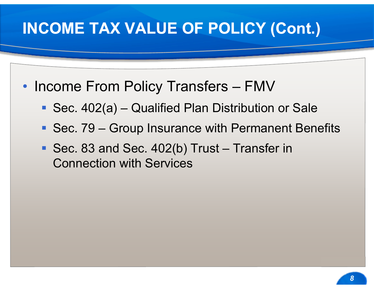## **INCOME TAX VALUE OF POLICY (Cont.)**

- Income From Policy Transfers FMV
	- Sec. 402(a) Qualified Plan Distribution or Sale
	- Sec. 79 Group Insurance with Permanent Benefits
	- Sec. 83 and Sec. 402(b) Trust Transfer in Connection with Services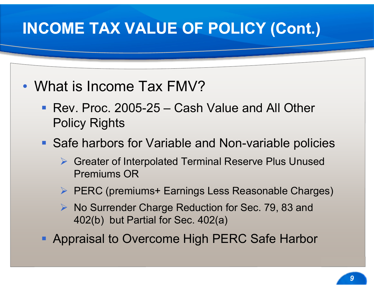## **INCOME TAX VALUE OF POLICY (Cont.)**

#### • What is Income Tax FMV?

- Rev. Proc. 2005-25 Cash Value and All Other Policy Rights
- Safe harbors for Variable and Non-variable policies
	- Greater of Interpolated Terminal Reserve Plus Unused Premiums OR
	- ▶ PERC (premiums+ Earnings Less Reasonable Charges)
	- $\triangleright$  No Surrender Charge Reduction for Sec. 79, 83 and 402(b) but Partial for Sec. 402(a)
- **Appraisal to Overcome High PERC Safe Harbor**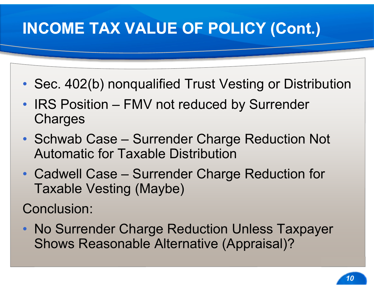# **INCOME TAX VALUE OF POLICY (Cont.)**

- Sec. 402(b) nonqualified Trust Vesting or Distribution
- IRS Position FMV not reduced by Surrender **Charges**
- Schwab Case Surrender Charge Reduction Not Automatic for Taxable Distribution
- Cadwell Case Surrender Charge Reduction for Taxable Vesting (Maybe)

Conclusion:

• No Surrender Charge Reduction Unless Taxpayer Shows Reasonable Alternative (Appraisal)?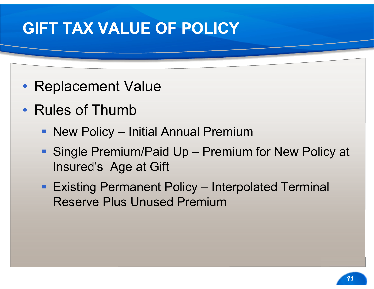#### **GIFT TAX VALUE OF POLICY**

- Replacement Value
- Rules of Thumb
	- New Policy Initial Annual Premium
	- Single Premium/Paid Up Premium for New Policy at Insured's Age at Gift
	- Existing Permanent Policy Interpolated Terminal Reserve Plus Unused Premium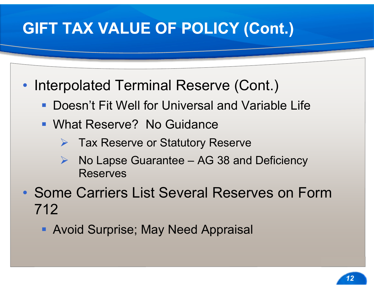## **GIFT TAX VALUE OF POLICY (Cont.)**

- Interpolated Terminal Reserve (Cont.)
	- **Doesn't Fit Well for Universal and Variable Life**
	- What Reserve? No Guidance
		- **▶ Tax Reserve or Statutory Reserve**
		- $\blacktriangleright$  No Lapse Guarantee – AG 38 and Deficiency **Reserves**
- Some Carriers List Several Reserves on Form 712
	- **Avoid Surprise; May Need Appraisal**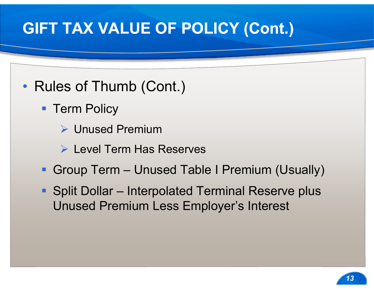## **GIFT TAX VALUE OF POLICY (Cont.)**

#### • Rules of Thumb (Cont.)

- **Term Policy** 
	- Unused Premium
	- Level Term Has Reserves
- Group Term Unused Table I Premium (Usually)
- Split Dollar Interpolated Terminal Reserve plus Unused Premium Less Employer's Interest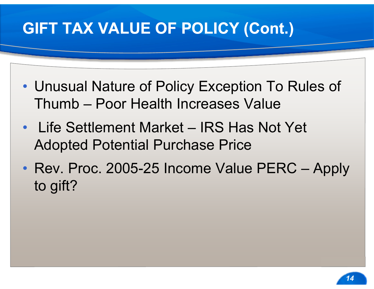# **GIFT TAX VALUE OF POLICY (Cont.)**

- Unusual Nature of Policy Exception To Rules of Thumb – Poor Health Increases Value
- Life Settlement Market IRS Has Not Yet Adopted Potential Purchase Price
- Rev. Proc. 2005-25 Income Value PERC Apply to gift?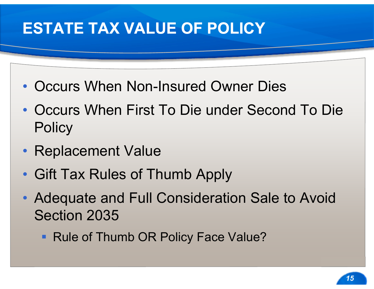## **ESTATE TAX VALUE OF POLICY**

- Occurs When Non-Insured Owner Dies
- Occurs When First To Die under Second To Die **Policy**
- Replacement Value
- Gift Tax Rules of Thumb Apply
- Adequate and Full Consideration Sale to Avoid Section 2035
	- Rule of Thumb OR Policy Face Value?